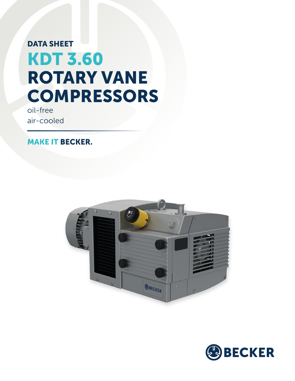## DATA SHEET KDT 3.60 ROTARY VANE **COMPRESSORS**

oil-free air-cooled

MAKE IT BECKER.



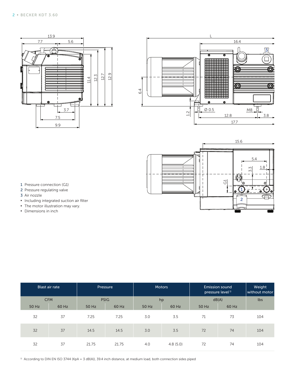





- 1 Pressure connection (G1)
- 2 Pressure regulating valve
- 3 Air nozzle
- **▪** Including integrated suction air filter
- **•** The motor illustration may vary.
- **▪** Dimensions in inch

|       | <b>Blast air rate</b> |       | Pressure    |       | <b>Motors</b> | <b>Emission sound</b><br>pressure level <sup>1)</sup> | Weight<br>without motor |     |
|-------|-----------------------|-------|-------------|-------|---------------|-------------------------------------------------------|-------------------------|-----|
|       | <b>CFM</b>            |       | <b>PSIG</b> |       | hp            | dB(A)                                                 |                         | lbs |
| 50 Hz | 60 Hz                 | 50 Hz | 60 Hz       | 50 Hz | 60 Hz         | 50 Hz                                                 | 60 Hz                   |     |
| 32    | 37                    | 7.25  | 7.25        | 3.0   | 3.5           | 71                                                    | 73                      | 104 |
| 32    | 37                    | 14.5  | 14.5        | 3.0   | 3.5           | 72                                                    | 74                      | 104 |
| 32    | 37                    | 21.75 | 21.75       | 4.0   | 4.8(5.0)      | 72                                                    | 74                      | 104 |

<sup>1)</sup> According to DIN EN ISO 3744 (KpA = 3 dB(A)), 39.4 inch distance, at medium load, both connection sides piped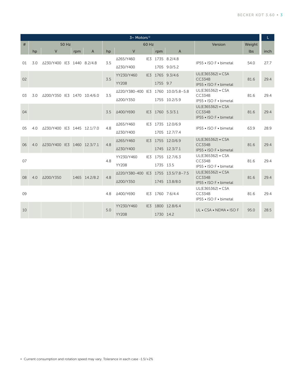| 3~ Motors <sup>1)</sup> |       |                             |     |                |     |                                     |                 |                  |                   |                                                              | L.   |      |
|-------------------------|-------|-----------------------------|-----|----------------|-----|-------------------------------------|-----------------|------------------|-------------------|--------------------------------------------------------------|------|------|
| #                       | 50 Hz |                             |     | 60 Hz          |     |                                     |                 |                  | Version           | Weight                                                       |      |      |
|                         | hp    | $\vee$                      | rpm | $\overline{A}$ | hp  | V                                   |                 | rpm              | $\overline{A}$    |                                                              | lbs  | inch |
| 3.0<br>01               |       | △230/Y400 IE3 1440 8.2/4.8  |     |                | 3.5 | Δ265/Y460                           | IE3             |                  | 1735 8.2/4.8      | IP55 . ISO F . bimetal                                       | 54.0 |      |
|                         |       |                             |     |                |     | Δ230/Y400                           |                 |                  | 1705 9.0/5.2      |                                                              |      | 27.7 |
| 02                      |       |                             |     |                | 3.5 | YY230/Y460                          |                 |                  | IE3 1765 9.3/4.6  | UL(E365362) • CSA<br><b>CC334B</b><br>IP55 • ISO F • bimetal |      |      |
|                         |       |                             |     |                |     | <b>YY208</b>                        |                 | 1755 9.7         |                   |                                                              | 81.6 | 29.4 |
| 03<br>3.0               |       | Δ200/Y350 IE3 1470 10.4/6.0 |     |                | 3.5 | Δ220/Y380-400 IE3                   |                 |                  | 1760 10.0/5.8-5.8 | UL(E365362) • CSA<br><b>CC334B</b><br>IP55 . ISO F . bimetal | 81.6 | 29.4 |
|                         |       |                             |     |                |     | ∆200/Y350                           |                 |                  | 1755 10.2/5.9     |                                                              |      |      |
|                         |       |                             |     |                |     |                                     |                 |                  |                   | UL(E365362) • CSA                                            |      |      |
| 04                      |       |                             |     |                | 3.5 | Δ400/Y690                           | IE <sub>3</sub> |                  | 1760 5.3/3.1      | <b>CC334B</b><br>IP55 • ISO F • bimetal                      | 81.6 | 29.4 |
|                         |       |                             |     |                |     | Δ265/Y460                           |                 |                  | IE3 1735 12.0/6.9 |                                                              |      |      |
| 05                      | 4.0   | Δ230/Y400 IE3 1445 12.1/7.0 |     |                | 4.8 | Δ230/Y400                           |                 |                  | 1705 12.7/7.4     | IP55 • ISO F • bimetal                                       | 63.9 | 28.9 |
|                         |       |                             |     |                |     | Δ265/Y460                           |                 |                  | IE3 1755 12.0/6.9 | UL(E365362) • CSA                                            |      |      |
| 06                      | 4.0   | Δ230/Y400 IE3 1460 12.3/7.1 |     |                | 4.8 |                                     |                 |                  |                   | <b>CC334B</b>                                                | 81.6 | 29.4 |
|                         |       |                             |     |                |     | △230/Y400                           |                 |                  | 1745 12.3/7.1     | IP55 • ISO F • bimetal                                       |      |      |
| 07                      |       |                             |     |                | 4.8 | YY230/Y460                          |                 |                  | IE3 1755 12.7/6.3 | UL(E365362) • CSA<br><b>CC334B</b>                           | 81.6 | 29.4 |
|                         |       |                             |     |                |     | <b>YY208</b>                        |                 | 1735 13.5        |                   | IP55 • ISO F • bimetal                                       |      |      |
| 08                      | 4.0   | Δ200/Y350                   |     | 1465 14.2/8.2  | 4.8 | A220/Y380-400 IE3 1755 13.5/7.8-7.5 |                 |                  |                   | UL(E365362) • CSA<br><b>CC334B</b><br>IP55 • ISO F • bimetal | 81.6 | 29.4 |
|                         |       |                             |     |                |     | ∆200/Y350                           |                 |                  | 1745 13.8/8.0     |                                                              |      |      |
|                         |       |                             |     |                | 4.8 | Δ400/Y690                           |                 | IE3 1760 7.6/4.4 |                   | UL(E365362) • CSA                                            |      |      |
| 09                      |       |                             |     |                |     |                                     |                 |                  |                   | <b>CC334B</b><br>IP55 • ISO F • bimetal                      | 81.6 | 29.4 |
|                         |       |                             |     |                |     | YY230/Y460                          | IE <sub>3</sub> |                  | 1800 12.8/6.4     |                                                              |      |      |
| 10                      |       |                             |     |                | 5.0 | <b>YY208</b>                        |                 | 1730 14.2        |                   | UL . CSA . NEMA . ISO F                                      | 95.0 | 28.5 |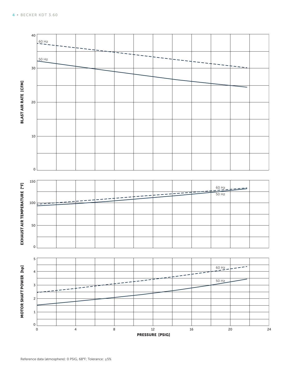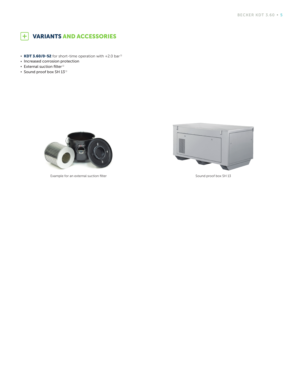

- **KDT 3.60/0-52** for short-time operation with +2.0 bar<sup>1)</sup>
- **•** Increased corrosion protection
- **•** External suction filter<sup>1)</sup>
- **▪** Sound proof box SH 13 1)



Example for an external suction filter Sound proof box SH 13